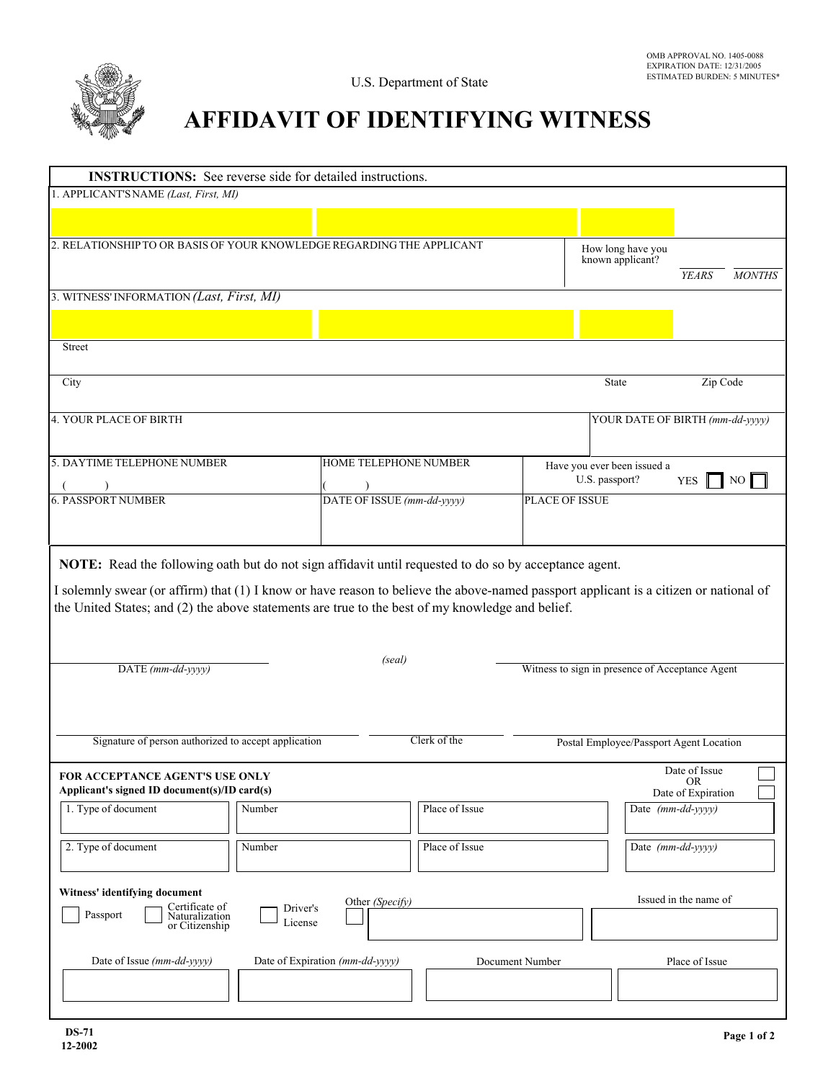

## **AFFIDAVIT OF IDENTIFYING WITNESS**

| <b>INSTRUCTIONS:</b> See reverse side for detailed instructions.                                                                                                                                                                                                                                                            |        |                                 |                |                                               |                                       |                                                  |               |
|-----------------------------------------------------------------------------------------------------------------------------------------------------------------------------------------------------------------------------------------------------------------------------------------------------------------------------|--------|---------------------------------|----------------|-----------------------------------------------|---------------------------------------|--------------------------------------------------|---------------|
| 1. APPLICANT'S NAME (Last, First, MI)                                                                                                                                                                                                                                                                                       |        |                                 |                |                                               |                                       |                                                  |               |
|                                                                                                                                                                                                                                                                                                                             |        |                                 |                |                                               |                                       |                                                  |               |
| 2. RELATIONSHIP TO OR BASIS OF YOUR KNOWLEDGE REGARDING THE APPLICANT                                                                                                                                                                                                                                                       |        |                                 |                |                                               | How long have you<br>known applicant? | <b>YEARS</b>                                     | <b>MONTHS</b> |
| 3. WITNESS' INFORMATION (Last, First, MI)                                                                                                                                                                                                                                                                                   |        |                                 |                |                                               |                                       |                                                  |               |
|                                                                                                                                                                                                                                                                                                                             |        |                                 |                |                                               |                                       |                                                  |               |
| Street                                                                                                                                                                                                                                                                                                                      |        |                                 |                |                                               |                                       |                                                  |               |
|                                                                                                                                                                                                                                                                                                                             |        |                                 |                |                                               |                                       |                                                  |               |
| City                                                                                                                                                                                                                                                                                                                        |        |                                 |                |                                               | State                                 | Zip Code                                         |               |
| 4. YOUR PLACE OF BIRTH                                                                                                                                                                                                                                                                                                      |        |                                 |                |                                               | YOUR DATE OF BIRTH (mm-dd-yyyy)       |                                                  |               |
| 5. DAYTIME TELEPHONE NUMBER                                                                                                                                                                                                                                                                                                 |        | HOME TELEPHONE NUMBER           |                | Have you ever been issued a<br>U.S. passport? |                                       | <b>YES</b>                                       | NO.           |
| <b>6. PASSPORT NUMBER</b>                                                                                                                                                                                                                                                                                                   |        | DATE OF ISSUE (mm-dd-yyyy)      |                | <b>PLACE OF ISSUE</b>                         |                                       |                                                  |               |
|                                                                                                                                                                                                                                                                                                                             |        |                                 |                |                                               |                                       |                                                  |               |
| I solemnly swear (or affirm) that (1) I know or have reason to believe the above-named passport applicant is a citizen or national of<br>the United States; and (2) the above statements are true to the best of my knowledge and belief.<br>(seal)<br>Witness to sign in presence of Acceptance Agent<br>DATE (mm-dd-yyyy) |        |                                 |                |                                               |                                       |                                                  |               |
|                                                                                                                                                                                                                                                                                                                             |        |                                 |                |                                               |                                       |                                                  |               |
| Signature of person authorized to accept application<br>Clerk of the<br>Postal Employee/Passport Agent Location                                                                                                                                                                                                             |        |                                 |                |                                               |                                       |                                                  |               |
| FOR ACCEPTANCE AGENT'S USE ONLY<br>Applicant's signed ID document(s)/ID card(s)                                                                                                                                                                                                                                             |        |                                 |                |                                               |                                       | Date of Issue<br><b>OR</b><br>Date of Expiration |               |
| 1. Type of document                                                                                                                                                                                                                                                                                                         | Number |                                 | Place of Issue |                                               | Date (mm-dd-yyyy)                     |                                                  |               |
| 2. Type of document                                                                                                                                                                                                                                                                                                         | Number |                                 | Place of Issue |                                               | Date (mm-dd-yyyy)                     |                                                  |               |
| Witness' identifying document<br>Issued in the name of<br>Other (Specify)<br>Certificate of<br>Driver's<br>Passport<br>Naturalization<br>License<br>or Citizenship                                                                                                                                                          |        |                                 |                |                                               |                                       |                                                  |               |
| Date of Issue (mm-dd-yyyy)                                                                                                                                                                                                                                                                                                  |        | Date of Expiration (mm-dd-yyyy) |                | Document Number                               |                                       | Place of Issue                                   |               |
|                                                                                                                                                                                                                                                                                                                             |        |                                 |                |                                               |                                       |                                                  |               |